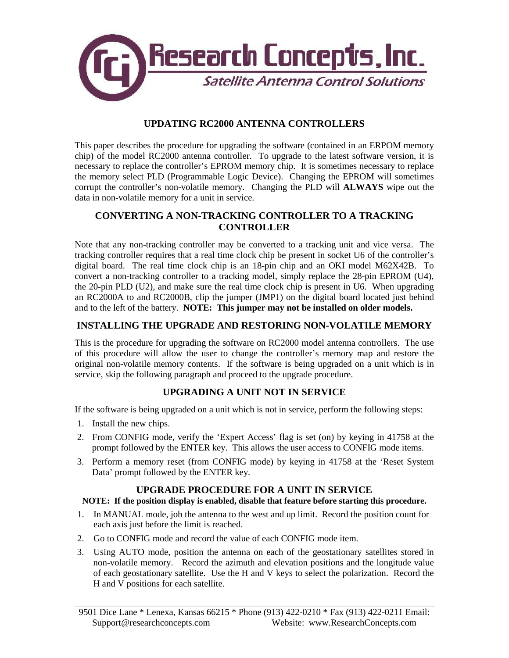

## **UPDATING RC2000 ANTENNA CONTROLLERS**

This paper describes the procedure for upgrading the software (contained in an ERPOM memory chip) of the model RC2000 antenna controller. To upgrade to the latest software version, it is necessary to replace the controller's EPROM memory chip. It is sometimes necessary to replace the memory select PLD (Programmable Logic Device). Changing the EPROM will sometimes corrupt the controller's non-volatile memory. Changing the PLD will **ALWAYS** wipe out the data in non-volatile memory for a unit in service.

## **CONVERTING A NON-TRACKING CONTROLLER TO A TRACKING CONTROLLER**

Note that any non-tracking controller may be converted to a tracking unit and vice versa. The tracking controller requires that a real time clock chip be present in socket U6 of the controller's digital board. The real time clock chip is an 18-pin chip and an OKI model M62X42B. To convert a non-tracking controller to a tracking model, simply replace the 28-pin EPROM (U4), the 20-pin PLD (U2), and make sure the real time clock chip is present in U6. When upgrading an RC2000A to and RC2000B, clip the jumper (JMP1) on the digital board located just behind and to the left of the battery. **NOTE: This jumper may not be installed on older models.**

# **INSTALLING THE UPGRADE AND RESTORING NON-VOLATILE MEMORY**

This is the procedure for upgrading the software on RC2000 model antenna controllers. The use of this procedure will allow the user to change the controller's memory map and restore the original non-volatile memory contents. If the software is being upgraded on a unit which is in service, skip the following paragraph and proceed to the upgrade procedure.

# **UPGRADING A UNIT NOT IN SERVICE**

If the software is being upgraded on a unit which is not in service, perform the following steps:

- 1. Install the new chips.
- 2. From CONFIG mode, verify the 'Expert Access' flag is set (on) by keying in 41758 at the prompt followed by the ENTER key. This allows the user access to CONFIG mode items.
- 3. Perform a memory reset (from CONFIG mode) by keying in 41758 at the 'Reset System Data' prompt followed by the ENTER key.

### **UPGRADE PROCEDURE FOR A UNIT IN SERVICE**

### **NOTE: If the position display is enabled, disable that feature before starting this procedure.**

- 1. In MANUAL mode, job the antenna to the west and up limit. Record the position count for each axis just before the limit is reached.
- 2. Go to CONFIG mode and record the value of each CONFIG mode item.
- 3. Using AUTO mode, position the antenna on each of the geostationary satellites stored in non-volatile memory. Record the azimuth and elevation positions and the longitude value of each geostationary satellite. Use the H and V keys to select the polarization. Record the H and V positions for each satellite.